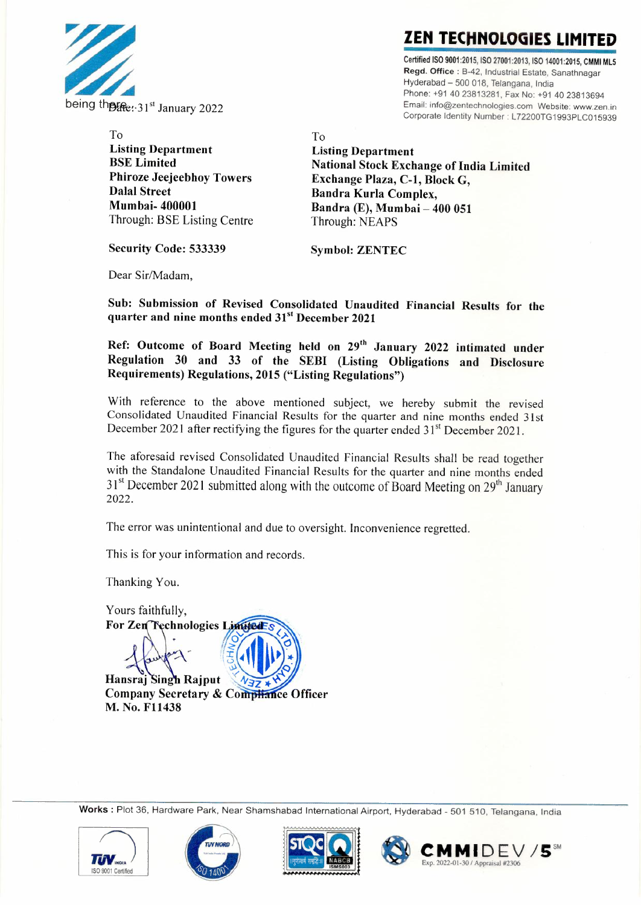

**ZEN TECHNOLOGIES LIMITED** 

Certified ISO 9001 :2015, ISO 27001:2013, ISO 14001 :2015, CMMI MLS Regd. Office : B-42, Industrial Estate, Sanathnagar Hyderabad - 500 018, Telangana, India Phone: +91 40 23813281, Fax No: +91 40 23813694 Email: info@zentechnologies.com Website: www.zen.in Corporate Identity Number: L72200TG1993PLC015939

To

To Listing Department BSE Limited Phiroze Jeejeebhoy Towers Dalal Street Mumbai- 400001 Through: BSE Listing Centre

Listing Department National Stock Exchange of India Limited Exchange Plaza, C-1, Block G, Bandra Kurla Complex. Bandra (E), Mumbai- 400 051 Through: NEAPS

Security Code: 533339 Symbol: ZENTEC

Dear Sir/Madam,

Sub: Submission of Revised Consolidated Unaudited Financial Results for the quarter and nine months ended 31<sup>st</sup> December 2021

Ref: Outcome of Board Meeting held on 29<sup>th</sup> January 2022 intimated under Regulation 30 and 33 of the SEBI (Listing Obligations and Disclosure Requirements) Regulations, 2015 ("Listing Regulations")

With reference to the above mentioned subject, we hereby submit the revised Consolidated Unaudited Financial Results for the quarter and nine months ended 31st December 2021 after rectifying the figures for the quarter ended 31<sup>st</sup> December 2021.

The aforesaid revised Consolidated Unaudited Financial Results shall be read together with the Standalone Unaudited Financial Results for the quarter and nine months ended  $31<sup>st</sup>$  December 2021 submitted along with the outcome of Board Meeting on  $29<sup>th</sup>$  January 2022.

The error was unintentional and due to oversight. Inconvenience regretted.

This is for your information and records.

Thanking You.

Yours faithfully, For Zen Technologies Limited Hansraj Singh Rajput

**Company Secretary & Compliance Officer** M. No. F11438

Works : Plot 36, Hardware Park, Near Shamshabad International Airport, Hyderabad - 501 510, Telangana, India